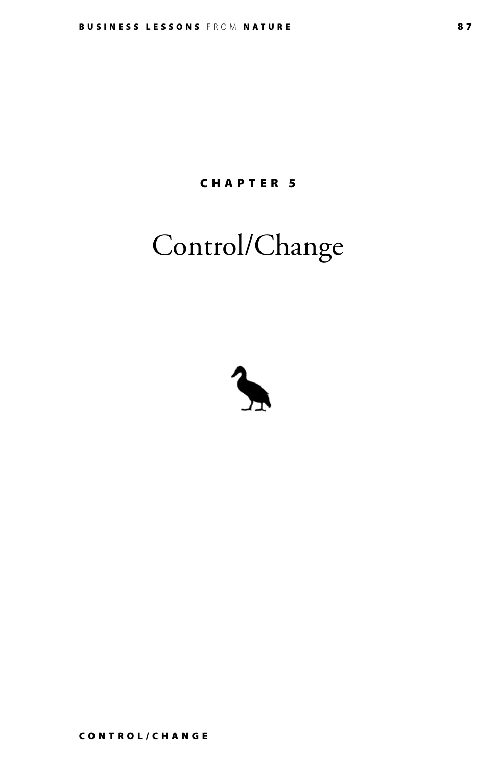C H A P T E R 5

## Control/Change

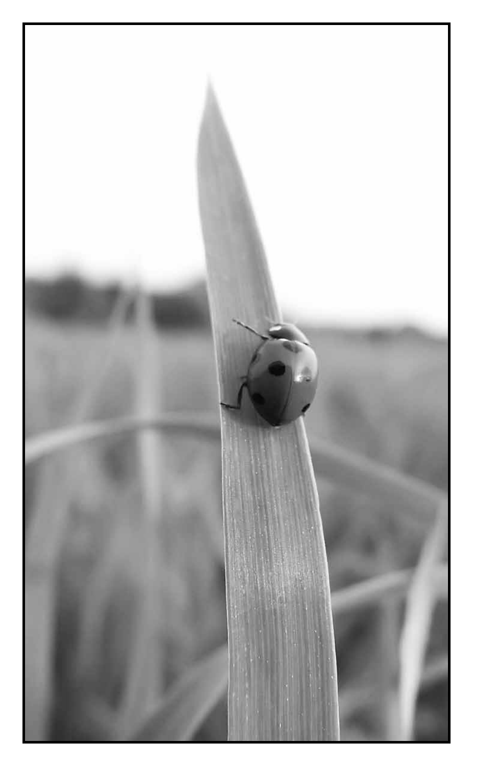